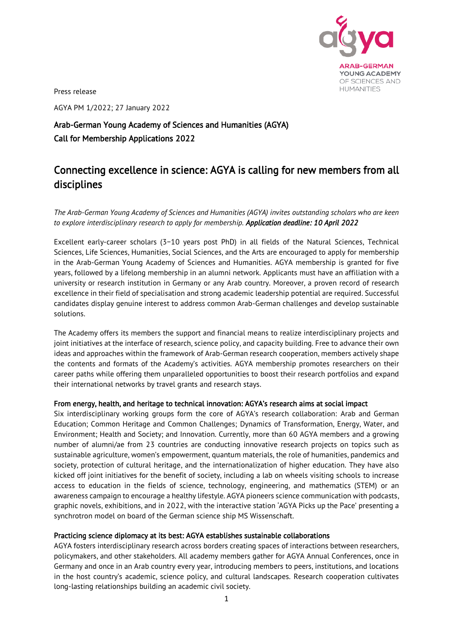

Press release

AGYA PM 1/2022; 27 January 2022

## Arab-German Young Academy of Sciences and Humanities (AGYA) Call for Membership Applications 2022

# Connecting excellence in science: AGYA is calling for new members from all disciplines

*The Arab-German Young Academy of Sciences and Humanities (AGYA) invites outstanding scholars who are keen to explore interdisciplinary research to apply for membership. Application deadline: 10 April 2022*

Excellent early-career scholars (3−10 years post PhD) in all fields of the Natural Sciences, Technical Sciences, Life Sciences, Humanities, Social Sciences, and the Arts are encouraged to apply for membership in the Arab-German Young Academy of Sciences and Humanities. AGYA membership is granted for five years, followed by a lifelong membership in an alumni network. Applicants must have an affiliation with a university or research institution in Germany or any Arab country. Moreover, a proven record of research excellence in their field of specialisation and strong academic leadership potential are required. Successful candidates display genuine interest to address common Arab-German challenges and develop sustainable solutions.

The Academy offers its members the support and financial means to realize interdisciplinary projects and joint initiatives at the interface of research, science policy, and capacity building. Free to advance their own ideas and approaches within the framework of Arab-German research cooperation, members actively shape the contents and formats of the Academy's activities. AGYA membership promotes researchers on their career paths while offering them unparalleled opportunities to boost their research portfolios and expand their international networks by travel grants and research stays.

#### From energy, health, and heritage to technical innovation: AGYA's research aims at social impact

Six interdisciplinary working groups form the core of AGYA's research collaboration: Arab and German Education; Common Heritage and Common Challenges; Dynamics of Transformation, Energy, Water, and Environment; Health and Society; and Innovation. Currently, more than 60 AGYA members and a growing number of alumni/ae from 23 countries are conducting innovative research projects on topics such as sustainable agriculture, women's empowerment, quantum materials, the role of humanities, pandemics and society, protection of cultural heritage, and the internationalization of higher education. They have also kicked off joint initiatives for the benefit of society, including a lab on wheels visiting schools to increase access to education in the fields of science, technology, engineering, and mathematics (STEM) or an awareness campaign to encourage a healthy lifestyle. AGYA pioneers science communication with podcasts, graphic novels, exhibitions, and in 2022, with the interactive station 'AGYA Picks up the Pace' presenting a synchrotron model on board of the German science ship MS Wissenschaft.

#### Practicing science diplomacy at its best: AGYA establishes sustainable collaborations

AGYA fosters interdisciplinary research across borders creating spaces of interactions between researchers, policymakers, and other stakeholders. All academy members gather for AGYA Annual Conferences, once in Germany and once in an Arab country every year, introducing members to peers, institutions, and locations in the host country's academic, science policy, and cultural landscapes. Research cooperation cultivates long-lasting relationships building an academic civil society.